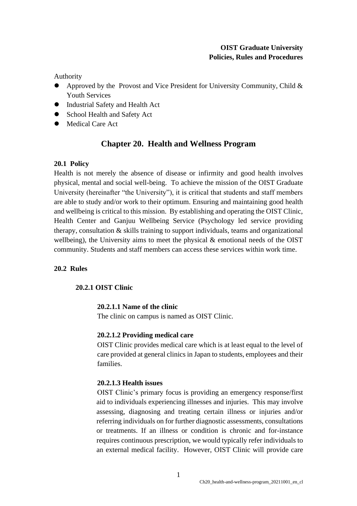# **OIST Graduate University Policies, Rules and Procedures**

Authority

- Approved by the Provost and Vice President for University Community, Child & Youth Services
- ⚫ Industrial Safety and Health Act
- School Health and Safety Act
- ⚫ Medical Care Act

# **Chapter 20. Health and Wellness Program**

# **20.1 Policy**

Health is not merely the absence of disease or infirmity and good health involves physical, mental and social well-being. To achieve the mission of the OIST Graduate University (hereinafter "the University"), it is critical that students and staff members are able to study and/or work to their optimum. Ensuring and maintaining good health and wellbeing is critical to this mission. By establishing and operating the OIST Clinic, Health Center and Ganjuu Wellbeing Service (Psychology led service providing therapy, consultation & skills training to support individuals, teams and organizational wellbeing), the University aims to meet the physical & emotional needs of the OIST community. Students and staff members can access these services within work time.

# **20.2 Rules**

# **20.2.1 OIST Clinic**

# **20.2.1.1 Name of the clinic**

The clinic on campus is named as OIST Clinic.

# **20.2.1.2 Providing medical care**

OIST Clinic provides medical care which is at least equal to the level of care provided at general clinics in Japan to students, employees and their families.

# **20.2.1.3 Health issues**

OIST Clinic's primary focus is providing an emergency response/first aid to individuals experiencing illnesses and injuries. This may involve assessing, diagnosing and treating certain illness or injuries and/or referring individuals on for further diagnostic assessments, consultations or treatments. If an illness or condition is chronic and for-instance requires continuous prescription, we would typically refer individuals to an external medical facility. However, OIST Clinic will provide care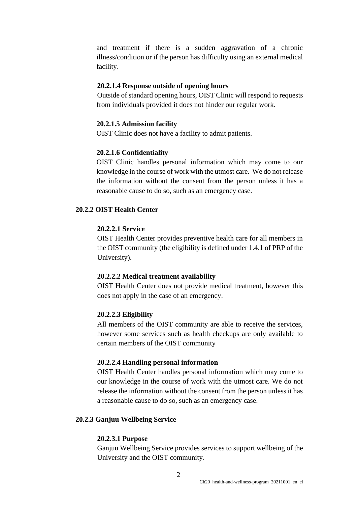and treatment if there is a sudden aggravation of a chronic illness/condition or if the person has difficulty using an external medical facility.

#### **20.2.1.4 Response outside of opening hours**

Outside of standard opening hours, OIST Clinic will respond to requests from individuals provided it does not hinder our regular work.

#### **20.2.1.5 Admission facility**

OIST Clinic does not have a facility to admit patients.

#### **20.2.1.6 Confidentiality**

OIST Clinic handles personal information which may come to our knowledge in the course of work with the utmost care. We do not release the information without the consent from the person unless it has a reasonable cause to do so, such as an emergency case.

## **20.2.2 OIST Health Center**

## **20.2.2.1 Service**

OIST Health Center provides preventive health care for all members in the OIST community (the eligibility is defined under 1.4.1 of PRP of the University).

#### **20.2.2.2 Medical treatment availability**

OIST Health Center does not provide medical treatment, however this does not apply in the case of an emergency.

#### **20.2.2.3 Eligibility**

All members of the OIST community are able to receive the services, however some services such as health checkups are only available to certain members of the OIST community

#### **20.2.2.4 Handling personal information**

OIST Health Center handles personal information which may come to our knowledge in the course of work with the utmost care. We do not release the information without the consent from the person unless it has a reasonable cause to do so, such as an emergency case.

#### **20.2.3 Ganjuu Wellbeing Service**

#### **20.2.3.1 Purpose**

Ganjuu Wellbeing Service provides services to support wellbeing of the University and the OIST community.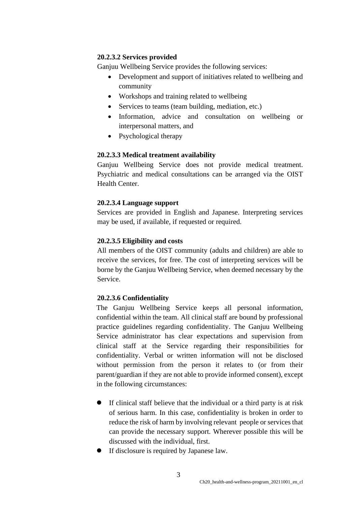# **20.2.3.2 Services provided**

Ganjuu Wellbeing Service provides the following services:

- Development and support of initiatives related to wellbeing and community
- Workshops and training related to wellbeing
- Services to teams (team building, mediation, etc.)
- Information, advice and consultation on wellbeing or interpersonal matters, and
- Psychological therapy

# **20.2.3.3 Medical treatment availability**

Ganjuu Wellbeing Service does not provide medical treatment. Psychiatric and medical consultations can be arranged via the OIST Health Center.

## **20.2.3.4 Language support**

Services are provided in English and Japanese. Interpreting services may be used, if available, if requested or required.

## **20.2.3.5 Eligibility and costs**

All members of the OIST community (adults and children) are able to receive the services, for free. The cost of interpreting services will be borne by the Ganjuu Wellbeing Service, when deemed necessary by the Service.

# **20.2.3.6 Confidentiality**

The Ganjuu Wellbeing Service keeps all personal information, confidential within the team. All clinical staff are bound by professional practice guidelines regarding confidentiality. The Ganjuu Wellbeing Service administrator has clear expectations and supervision from clinical staff at the Service regarding their responsibilities for confidentiality. Verbal or written information will not be disclosed without permission from the person it relates to (or from their parent/guardian if they are not able to provide informed consent), except in the following circumstances:

- ⚫ If clinical staff believe that the individual or a third party is at risk of serious harm. In this case, confidentiality is broken in order to reduce the risk of harm by involving relevant people or services that can provide the necessary support. Wherever possible this will be discussed with the individual, first.
- ⚫ If disclosure is required by Japanese law.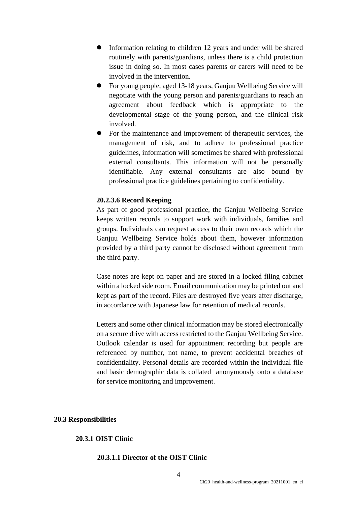- ⚫ Information relating to children 12 years and under will be shared routinely with parents/guardians, unless there is a child protection issue in doing so. In most cases parents or carers will need to be involved in the intervention.
- ⚫ For young people, aged 13-18 years, Ganjuu Wellbeing Service will negotiate with the young person and parents/guardians to reach an agreement about feedback which is appropriate to the developmental stage of the young person, and the clinical risk involved.
- ⚫ For the maintenance and improvement of therapeutic services, the management of risk, and to adhere to professional practice guidelines, information will sometimes be shared with professional external consultants. This information will not be personally identifiable. Any external consultants are also bound by professional practice guidelines pertaining to confidentiality.

## **20.2.3.6 Record Keeping**

As part of good professional practice, the Ganjuu Wellbeing Service keeps written records to support work with individuals, families and groups. Individuals can request access to their own records which the Ganjuu Wellbeing Service holds about them, however information provided by a third party cannot be disclosed without agreement from the third party.

Case notes are kept on paper and are stored in a locked filing cabinet within a locked side room. Email communication may be printed out and kept as part of the record. Files are destroyed five years after discharge, in accordance with Japanese law for retention of medical records.

Letters and some other clinical information may be stored electronically on a secure drive with access restricted to the Ganjuu Wellbeing Service. Outlook calendar is used for appointment recording but people are referenced by number, not name, to prevent accidental breaches of confidentiality. Personal details are recorded within the individual file and basic demographic data is collated anonymously onto a database for service monitoring and improvement.

### **20.3 Responsibilities**

#### **20.3.1 OIST Clinic**

### **20.3.1.1 Director of the OIST Clinic**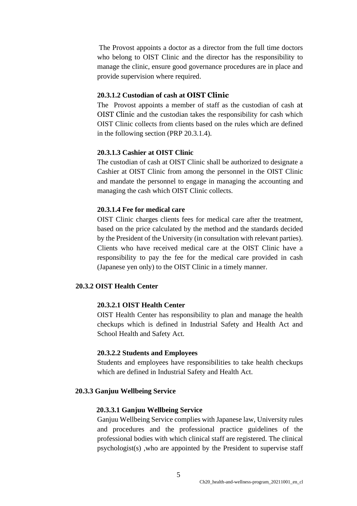The Provost appoints a doctor as a director from the full time doctors who belong to OIST Clinic and the director has the responsibility to manage the clinic, ensure good governance procedures are in place and provide supervision where required.

## **20.3.1.2 Custodian of cash at OIST Clinic**

The Provost appoints a member of staff as the custodian of cash at OIST Clinic and the custodian takes the responsibility for cash which OIST Clinic collects from clients based on the rules which are defined in the following section (PRP 20.3.1.4).

## **20.3.1.3 Cashier at OIST Clinic**

The custodian of cash at OIST Clinic shall be authorized to designate a Cashier at OIST Clinic from among the personnel in the OIST Clinic and mandate the personnel to engage in managing the accounting and managing the cash which OIST Clinic collects.

## **20.3.1.4 Fee for medical care**

OIST Clinic charges clients fees for medical care after the treatment, based on the price calculated by the method and the standards decided by the President of the University (in consultation with relevant parties). Clients who have received medical care at the OIST Clinic have a responsibility to pay the fee for the medical care provided in cash (Japanese yen only) to the OIST Clinic in a timely manner.

# **20.3.2 OIST Health Center**

## **20.3.2.1 OIST Health Center**

OIST Health Center has responsibility to plan and manage the health checkups which is defined in Industrial Safety and Health Act and School Health and Safety Act.

#### **20.3.2.2 Students and Employees**

Students and employees have responsibilities to take health checkups which are defined in Industrial Safety and Health Act.

### **20.3.3 Ganjuu Wellbeing Service**

#### **20.3.3.1 Ganjuu Wellbeing Service**

Ganjuu Wellbeing Service complies with Japanese law, University rules and procedures and the professional practice guidelines of the professional bodies with which clinical staff are registered. The clinical psychologist(s) ,who are appointed by the President to supervise staff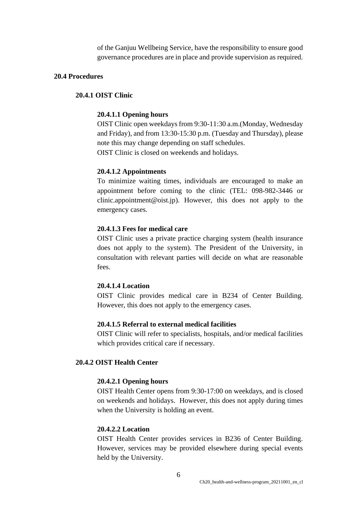of the Ganjuu Wellbeing Service, have the responsibility to ensure good governance procedures are in place and provide supervision as required.

#### **20.4 Procedures**

## **20.4.1 OIST Clinic**

#### **20.4.1.1 Opening hours**

OIST Clinic open weekdays from 9:30-11:30 a.m.(Monday, Wednesday and Friday), and from 13:30-15:30 p.m. (Tuesday and Thursday), please note this may change depending on staff schedules. OIST Clinic is closed on weekends and holidays.

#### **20.4.1.2 Appointments**

To minimize waiting times, individuals are encouraged to make an appointment before coming to the clinic (TEL: 098-982-3446 or clinic.appointment@oist.jp). However, this does not apply to the emergency cases.

#### **20.4.1.3 Fees for medical care**

OIST Clinic uses a private practice charging system (health insurance does not apply to the system). The President of the University, in consultation with relevant parties will decide on what are reasonable fees.

## **20.4.1.4 Location**

OIST Clinic provides medical care in B234 of Center Building. However, this does not apply to the emergency cases.

#### **20.4.1.5 Referral to external medical facilities**

OIST Clinic will refer to specialists, hospitals, and/or medical facilities which provides critical care if necessary.

## **20.4.2 OIST Health Center**

#### **20.4.2.1 Opening hours**

OIST Health Center opens from 9:30-17:00 on weekdays, and is closed on weekends and holidays. However, this does not apply during times when the University is holding an event.

### **20.4.2.2 Location**

OIST Health Center provides services in B236 of Center Building. However, services may be provided elsewhere during special events held by the University.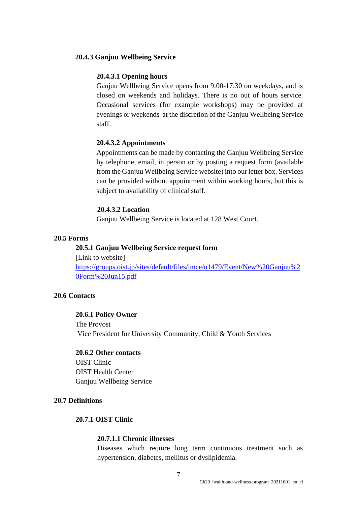#### **20.4.3 Ganjuu Wellbeing Service**

### **20.4.3.1 Opening hours**

Ganjuu Wellbeing Service opens from 9:00-17:30 on weekdays, and is closed on weekends and holidays. There is no out of hours service. Occasional services (for example workshops) may be provided at evenings or weekends at the discretion of the Ganjuu Wellbeing Service staff.

### **20.4.3.2 Appointments**

Appointments can be made by contacting the Ganjuu Wellbeing Service by telephone, email, in person or by posting a request form (available from the Ganjuu Wellbeing Service website) into our letter box. Services can be provided without appointment within working hours, but this is subject to availability of clinical staff.

## **20.4.3.2 Location**

Ganjuu Wellbeing Service is located at 128 West Court.

### **20.5 Forms**

## **20.5.1 Ganjuu Wellbeing Service request form**

[Link to website] [https://groups.oist.jp/sites/default/files/imce/u1479/Event/New%20Ganjuu%2](https://groups.oist.jp/sites/default/files/imce/u1479/Event/New%20Ganjuu%20Form%20Jun15.pdf) [0Form%20Jun15.pdf](https://groups.oist.jp/sites/default/files/imce/u1479/Event/New%20Ganjuu%20Form%20Jun15.pdf)

#### **20.6 Contacts**

## **20.6.1 Policy Owner**

The Provost Vice President for University Community, Child & Youth Services

# **20.6.2 Other contacts**

OIST Clinic OIST Health Center Ganjuu Wellbeing Service

## **20.7 Definitions**

## **20.7.1 OIST Clinic**

## **20.7.1.1 Chronic illnesses**

Diseases which require long term continuous treatment such as hypertension, diabetes, mellitus or dyslipidemia.